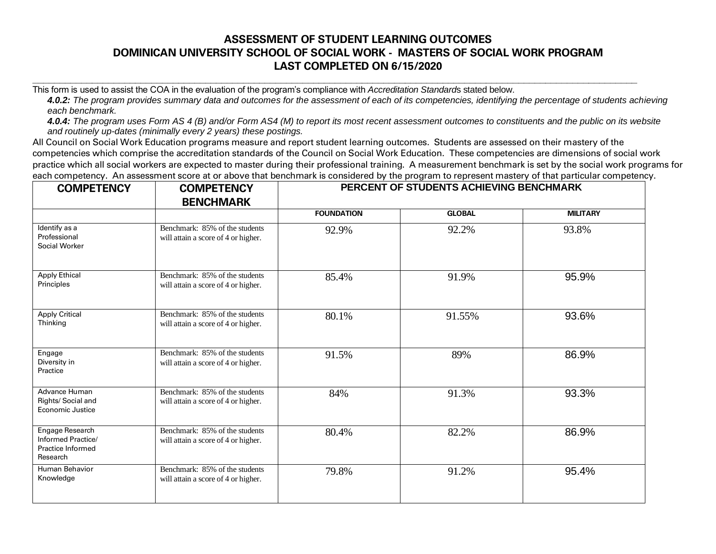## **ASSESSMENT OF STUDENT LEARNING OUTCOMES DOMINICAN UNIVERSITY SCHOOL OF SOCIAL WORK - MASTERS OF SOCIAL WORK PROGRAM LAST COMPLETED ON 6/15/2020**

This form is used to assist the COA in the evaluation of the program's compliance with *Accreditation Standard*s stated below.

*4.0.2: The program provides summary data and outcomes for the assessment of each of its competencies, identifying the percentage of students achieving each benchmark.*

**\_\_\_\_\_\_\_\_\_\_\_\_\_\_\_\_\_\_\_\_\_\_\_\_\_\_\_\_\_\_\_\_\_\_\_\_\_\_\_\_\_\_\_\_\_\_\_\_\_\_\_\_\_\_\_\_\_\_\_\_\_\_\_\_\_\_\_\_\_\_\_\_\_\_\_\_\_\_\_\_\_\_\_\_\_\_\_\_\_\_\_\_\_\_\_\_\_\_\_\_\_\_\_\_\_\_\_\_\_\_\_\_**

*4.0.4: The program uses Form AS 4 (B) and/or Form AS4 (M) to report its most recent assessment outcomes to constituents and the public on its website and routinely up-dates (minimally every 2 years) these postings.*

All Council on Social Work Education programs measure and report student learning outcomes. Students are assessed on their mastery of the competencies which comprise the accreditation standards of the Council on Social Work Education. These competencies are dimensions of social work practice which all social workers are expected to master during their professional training. A measurement benchmark is set by the social work programs for each competency. An assessment score at or above that benchmark is considered by the program to represent mastery of that particular competency.

| <b>COMPETENCY</b>                                                      | <b>COMPETENCY</b><br><b>BENCHMARK</b>                                 | PERCENT OF STUDENTS ACHIEVING BENCHMARK |               |                 |
|------------------------------------------------------------------------|-----------------------------------------------------------------------|-----------------------------------------|---------------|-----------------|
|                                                                        |                                                                       | <b>FOUNDATION</b>                       | <b>GLOBAL</b> | <b>MILITARY</b> |
| Identify as a<br>Professional<br>Social Worker                         | Benchmark: 85% of the students<br>will attain a score of 4 or higher. | 92.9%                                   | 92.2%         | 93.8%           |
| <b>Apply Ethical</b><br>Principles                                     | Benchmark: 85% of the students<br>will attain a score of 4 or higher. | 85.4%                                   | 91.9%         | 95.9%           |
| <b>Apply Critical</b><br>Thinking                                      | Benchmark: 85% of the students<br>will attain a score of 4 or higher. | 80.1%                                   | 91.55%        | 93.6%           |
| Engage<br>Diversity in<br>Practice                                     | Benchmark: 85% of the students<br>will attain a score of 4 or higher. | 91.5%                                   | 89%           | 86.9%           |
| Advance Human<br>Rights/ Social and<br>Economic Justice                | Benchmark: 85% of the students<br>will attain a score of 4 or higher. | 84%                                     | 91.3%         | 93.3%           |
| Engage Research<br>Informed Practice/<br>Practice Informed<br>Research | Benchmark: 85% of the students<br>will attain a score of 4 or higher. | 80.4%                                   | 82.2%         | 86.9%           |
| Human Behavior<br>Knowledge                                            | Benchmark: 85% of the students<br>will attain a score of 4 or higher. | 79.8%                                   | 91.2%         | 95.4%           |